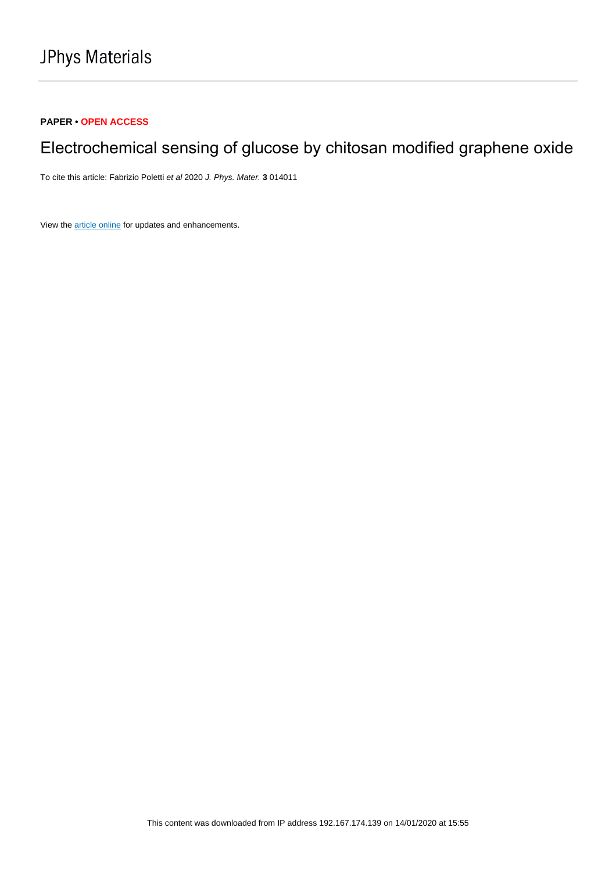## **PAPER • OPEN ACCESS**

# Electrochemical sensing of glucose by chitosan modified graphene oxide

To cite this article: Fabrizio Poletti et al 2020 J. Phys. Mater. **3** 014011

View the [article online](https://doi.org/10.1088/2515-7639/ab5e51) for updates and enhancements.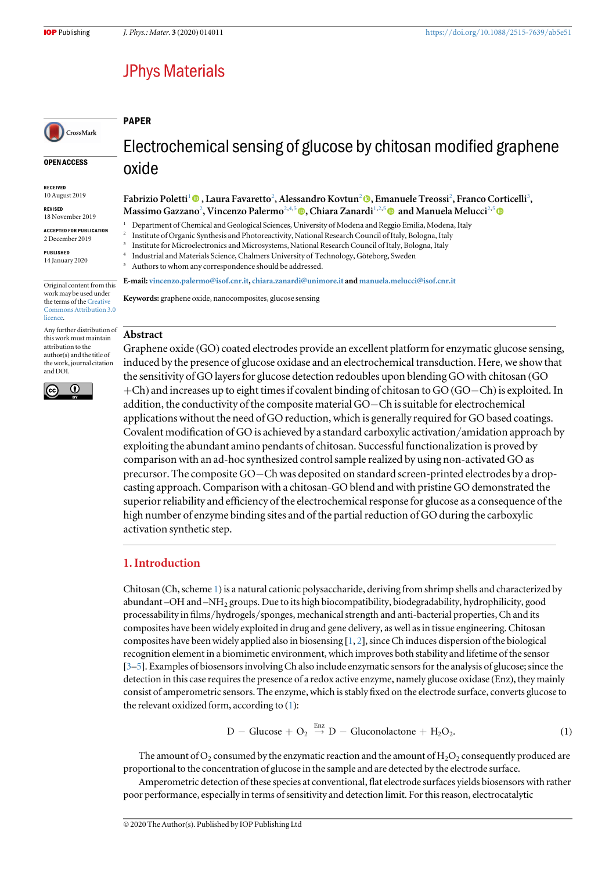## **JPhys Materials**

<span id="page-1-0"></span>CrossMark

PAPER

OPEN ACCESS

RECEIVED 10 August 2019

REVISED 18 November 2019

ACCEPTED FOR PUBLICATION

2 December 2019 PUBLISHED

14 January 2020

Original content from this work may be used under the terms of the [Creative](http://creativecommons.org/licenses/by/3.0) [Commons Attribution 3.0](http://creativecommons.org/licenses/by/3.0) **licence** 

Any further distribution of this work must maintain attribution to the author(s) and the title of the work, journal citation and DOI.



Electrochemical sensing of glucose by chitosan modified graphene oxide

Fabrizio Poletti<sup>1</sup>© [,](https://orcid.org/0000-0002-7614-7100) Laura Favaretto<sup>2</sup>, Alessandro Kovtun<sup>2</sup>©, Emanuele Treossi<sup>2</sup>, Franco Corticelli<sup>3</sup>, Massimo Gazza[no](https://orcid.org/0000-0001-9646-021X)<sup>2</sup>, Vincenzo Palermo<sup>2,4,5</sup> (@, Chiara Zana[rd](https://orcid.org/0000-0002-7614-7100)i<sup>1,2,5</sup> @ and Manuela Melucci<sup>2,5</sup>

<sup>1</sup> Department of Chemical and Geological Sciences, University of Modena and Reggio Emilia, Modena, Italy

<sup>2</sup> Institute of Organic Synthesis and Photoreactivity, National Research Council of Italy, Bologna, Italy

<sup>3</sup> Institute for Microelectronics and Microsystems, National Research Council of Italy, Bologna, Italy

<sup>4</sup> Industrial and Materials Science, Chalmers University of Technology, Göteborg, Sweden

Authors to whom any correspondence should be addressed.

E-mail: [vincenzo.palermo@isof.cnr.it](mailto:vincenzo.palermo@isof.cnr.it), [chiara.zanardi@unimore.it](mailto:chiara.zanardi@unimore.it) and [manuela.melucci@isof.cnr.it](mailto:manuela.melucci@isof.cnr.it)

Keywords: graphene oxide, nanocomposites, glucose sensing

## Abstract

Graphene oxide (GO) coated electrodes provide an excellent platform for enzymatic glucose sensing, induced by the presence of glucose oxidase and an electrochemical transduction. Here, we show that the sensitivity of GO layers for glucose detection redoubles upon blending GO with chitosan (GO +Ch) and increases up to eight times if covalent binding of chitosan to GO (GO−Ch) is exploited. In addition, the conductivity of the composite material GO−Ch is suitable for electrochemical applications without the need of GO reduction, which is generally required for GO based coatings. Covalent modification of GO is achieved by a standard carboxylic activation/amidation approach by exploiting the abundant amino pendants of chitosan. Successful functionalization is proved by comparison with an ad-hoc synthesized control sample realized by using non-activated GO as precursor. The composite GO−Ch was deposited on standard screen-printed electrodes by a dropcasting approach. Comparison with a chitosan-GO blend and with pristine GO demonstrated the superior reliability and efficiency of the electrochemical response for glucose as a consequence of the high number of enzyme binding sites and of the partial reduction of GO during the carboxylic activation synthetic step.

## 1. Introduction

Chitosan (Ch, scheme [1](#page-2-0)) is a natural cationic polysaccharide, deriving from shrimp shells and characterized by abundant –OH and –NH2 groups. Due to its high biocompatibility, biodegradability, hydrophilicity, good processability in films/hydrogels/sponges, mechanical strength and anti-bacterial properties, Ch and its composites have been widely exploited in drug and gene delivery, as well as in tissue engineering. Chitosan composites have been widely applied also in biosensing [[1](#page-9-0), [2](#page-9-0)], since Ch induces dispersion of the biological recognition element in a biomimetic environment, which improves both stability and lifetime of the sensor [[3](#page-9-0)–[5](#page-9-0)]. Examples of biosensors involving Ch also include enzymatic sensors for the analysis of glucose; since the detection in this case requires the presence of a redox active enzyme, namely glucose oxidase (Enz), they mainly consist of amperometric sensors. The enzyme, which is stably fixed on the electrode surface, converts glucose to the relevant oxidized form, according to (1):

> $D - Glucose + O_2 \stackrel{Enz}{\rightarrow} D - Gluconolactone + H_2O_2.$  (1)  $2\mathsf{U}_2$

The amount of  $O_2$  consumed by the enzymatic reaction and the amount of  $H_2O_2$  consequently produced are proportional to the concentration of glucose in the sample and are detected by the electrode surface.

Amperometric detection of these species at conventional, flat electrode surfaces yields biosensors with rather poor performance, especially in terms of sensitivity and detection limit. For this reason, electrocatalytic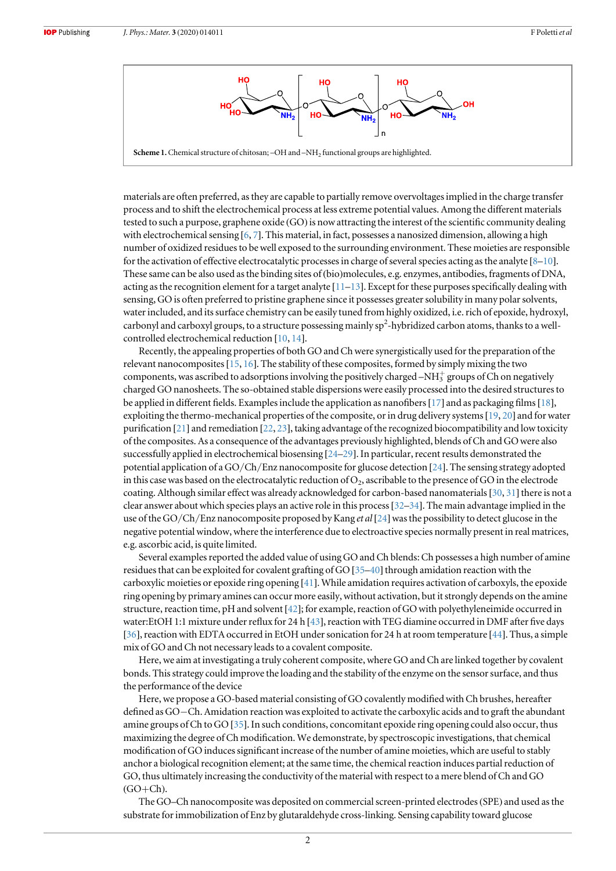<span id="page-2-0"></span>

materials are often preferred, as they are capable to partially remove overvoltages implied in the charge transfer process and to shift the electrochemical process at less extreme potential values. Among the different materials tested to such a purpose, graphene oxide (GO) is now attracting the interest of the scientific community dealing with electrochemical sensing [[6,](#page-9-0) [7](#page-9-0)]. This material, in fact, possesses a nanosized dimension, allowing a high number of oxidized residues to be well exposed to the surrounding environment. These moieties are responsible for the activation of effective electrocatalytic processes in charge of several species acting as the analyte  $[8-10]$  $[8-10]$  $[8-10]$  $[8-10]$  $[8-10]$ . These same can be also used as the binding sites of(bio)molecules, e.g. enzymes, antibodies, fragments of DNA, acting as the recognition element for a target analyte  $[11–13]$  $[11–13]$  $[11–13]$  $[11–13]$  $[11–13]$ . Except for these purposes specifically dealing with sensing, GO is often preferred to pristine graphene since it possesses greater solubility in many polar solvents, water included, and its surface chemistry can be easily tuned from highly oxidized, i.e. rich of epoxide, hydroxyl, carbonyl and carboxyl groups, to a structure possessing mainly sp<sup>2</sup>-hybridized carbon atoms, thanks to a wellcontrolled electrochemical reduction [[10,](#page-9-0) [14](#page-10-0)].

Recently, the appealing properties of both GO and Ch were synergistically used for the preparation of the relevant nanocomposites[[15](#page-10-0), [16](#page-10-0)]. The stability of these composites, formed by simply mixing the two components, was ascribed to adsorptions involving the positively charged –NH $_3^+$  groups of Ch on negatively charged GO nanosheets. The so-obtained stable dispersions were easily processed into the desired structures to be applied in different fields. Examples include the application as nanofibers[[17](#page-10-0)] and as packaging films[[18](#page-10-0)], exploiting the thermo-mechanical properties of the composite, or in drug delivery systems[[19,](#page-10-0) [20](#page-10-0)] and for water purification [[21](#page-10-0)] and remediation [[22,](#page-10-0) [23](#page-10-0)], taking advantage of the recognized biocompatibility and low toxicity of the composites. As a consequence of the advantages previously highlighted, blends of Ch and GO were also successfully applied in electrochemical biosensing [[24](#page-10-0)–[29](#page-10-0)]. In particular, recent results demonstrated the potential application of a GO/Ch/Enz nanocomposite for glucose detection [[24](#page-10-0)]. The sensing strategy adopted in this case was based on the electrocatalytic reduction of  $O_2$ , ascribable to the presence of GO in the electrode coating. Although similar effect was already acknowledged for carbon-based nanomaterials[[30](#page-10-0), [31](#page-10-0)] there is not a clear answer about which species plays an active role in this process[[32](#page-10-0)–[34](#page-10-0)]. The main advantage implied in the use of the GO/Ch/Enz nanocomposite proposed by Kang *et al* [[24](#page-10-0)] was the possibility to detect glucose in the negative potential window, where the interference due to electroactive species normally present in real matrices, e.g. ascorbic acid, is quite limited.

Several examples reported the added value of using GO and Ch blends: Ch possesses a high number of amine residues that can be exploited for covalent grafting of GO [[35](#page-10-0)–[40](#page-10-0)] through amidation reaction with the carboxylic moieties or epoxide ring opening [[41](#page-10-0)]. While amidation requires activation of carboxyls, the epoxide ring opening by primary amines can occur more easily, without activation, but it strongly depends on the amine structure, reaction time, pH and solvent [[42](#page-10-0)]; for example, reaction of GO with polyethyleneimide occurred in water:EtOH 1:1 mixture under reflux for 24 h [[43](#page-10-0)], reaction with TEG diamine occurred in DMF after five days [[36](#page-10-0)], reaction with EDTA occurred in EtOH under sonication for 24 h at room temperature [[44](#page-10-0)]. Thus, a simple mix of GO and Ch not necessary leads to a covalent composite.

Here, we aim at investigating a truly coherent composite, where GO and Ch are linked together by covalent bonds. This strategy could improve the loading and the stability of the enzyme on the sensor surface, and thus the performance of the device

Here, we propose a GO-based material consisting of GO covalently modified with Ch brushes, hereafter defined as GO−Ch. Amidation reaction was exploited to activate the carboxylic acids and to graft the abundant amine groups of Ch to GO [[35](#page-10-0)]. In such conditions, concomitant epoxide ring opening could also occur, thus maximizing the degree of Ch modification. We demonstrate, by spectroscopic investigations, that chemical modification of GO induces significant increase of the number of amine moieties, which are useful to stably anchor a biological recognition element; at the same time, the chemical reaction induces partial reduction of GO, thus ultimately increasing the conductivity of the material with respect to a mere blend of Ch and GO  $(GO+Ch)$ .

The GO–Ch nanocomposite was deposited on commercial screen-printed electrodes(SPE) and used as the substrate for immobilization of Enz by glutaraldehyde cross-linking. Sensing capability toward glucose

 $\overline{2}$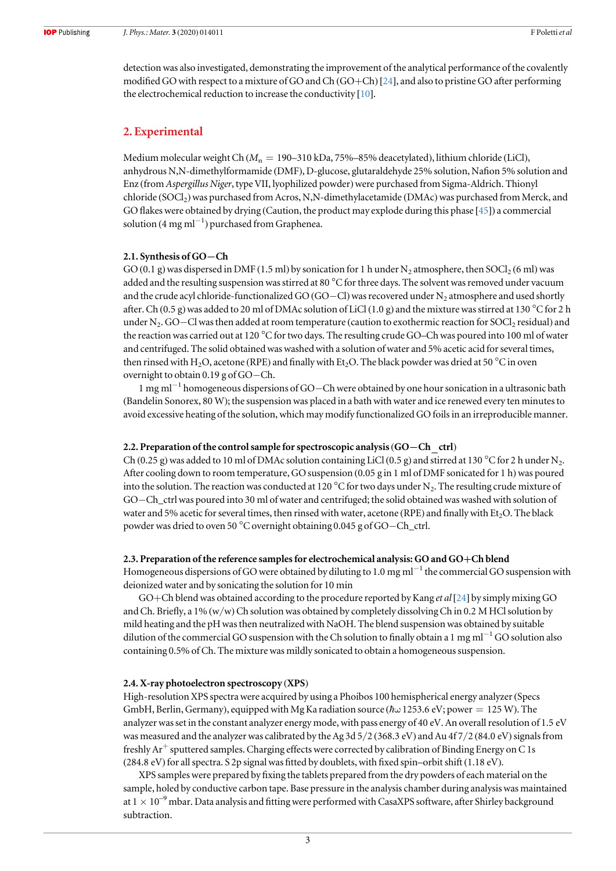detection was also investigated, demonstrating the improvement of the analytical performance of the covalently modified GO with respect to a mixture of GO and Ch (GO+Ch) [[24](#page-10-0)], and also to pristine GO after performing the electrochemical reduction to increase the conductivity [[10](#page-9-0)].

## 2. Experimental

Medium molecular weight Ch ( $M_n = 190-310$  kDa, 75%–85% deacetylated), lithium chloride (LiCl), anhydrous N,N-dimethylformamide (DMF), D-glucose, glutaraldehyde 25% solution, Nafion 5% solution and Enz (from Aspergillus Niger, type VII, lyophilized powder)were purchased from Sigma-Aldrich. Thionyl chloride (SOCl<sub>2</sub>) was purchased from Acros, N,N-dimethylacetamide (DMAc) was purchased from Merck, and GO flakes were obtained by drying (Caution, the product may explode during this phase [[45](#page-10-0)]) a commercial solution (4 mg ml−<sup>1</sup> ) purchased from Graphenea.

#### 2.1. Synthesis of GO−Ch

GO (0.1 g) was dispersed in DMF (1.5 ml) by sonication for 1 h under N<sub>2</sub> atmosphere, then SOCl<sub>2</sub> (6 ml) was added and the resulting suspension was stirred at 80  $^{\circ}$ C for three days. The solvent was removed under vacuum and the crude acyl chloride-functionalized GO (GO–Cl) was recovered under N<sub>2</sub> atmosphere and used shortly after. Ch (0.5 g) was added to 20 ml of DMAc solution of LiCl (1.0 g) and the mixture was stirred at 130 °C for 2 h under N<sub>2</sub>. GO−Cl was then added at room temperature (caution to exothermic reaction for SOCl<sub>2</sub> residual) and the reaction was carried out at 120 °C for two days. The resulting crude GO–Ch was poured into 100 ml of water and centrifuged. The solid obtained was washed with a solution of water and 5% acetic acid for several times, then rinsed with H<sub>2</sub>O, acetone (RPE) and finally with Et<sub>2</sub>O. The black powder was dried at 50 °C in oven overnight to obtain 0.19 g of GO−Ch.

1 mg ml−<sup>1</sup> homogeneous dispersions of GO−Ch were obtained by one hour sonication in a ultrasonic bath (Bandelin Sonorex, 80 W); the suspension was placed in a bath with water and ice renewed every ten minutes to avoid excessive heating of the solution, which may modify functionalized GO foils in an irreproducible manner.

#### 2.2. Preparation of the control sample for spectroscopic analysis (GO–Ch ctrl)

Ch (0.25 g) was added to 10 ml of DMAc solution containing LiCl (0.5 g) and stirred at 130 °C for 2 h under N<sub>2</sub>. After cooling down to room temperature, GO suspension (0.05 g in 1 ml of DMF sonicated for 1 h) was poured into the solution. The reaction was conducted at 120  $^{\circ}$ C for two days under N<sub>2</sub>. The resulting crude mixture of GO−Ch\_ctrl was poured into 30 ml of water and centrifuged; the solid obtained was washed with solution of water and 5% acetic for several times, then rinsed with water, acetone (RPE) and finally with Et<sub>2</sub>O. The black powder was dried to oven 50 °C overnight obtaining 0.045 g of GO−Ch\_ctrl.

## 2.3. Preparation of the reference samples for electrochemical analysis: GO and GO+Ch blend

Homogeneous dispersions of GO were obtained by diluting to 1.0 mg ml<sup> $-1$ </sup> the commercial GO suspension with deionized water and by sonicating the solution for 10 min

GO+Ch blend was obtained according to the procedure reported by Kang *et al* [[24](#page-10-0)] by simply mixing GO and Ch. Briefly, a 1% (w/w) Ch solution was obtained by completely dissolving Ch in 0.2 M HCl solution by mild heating and the pH was then neutralized with NaOH. The blend suspension was obtained by suitable dilution of the commercial GO suspension with the Ch solution to finally obtain a 1 mg ml<sup>−1</sup> GO solution also containing 0.5% of Ch. The mixture was mildly sonicated to obtain a homogeneous suspension.

#### 2.4. X-ray photoelectron spectroscopy (XPS)

High-resolution XPS spectra were acquired by using a Phoibos 100 hemispherical energy analyzer(Specs GmbH, Berlin, Germany), equipped with Mg Ka radiation source ( $\hbar\omega$  1253.6 eV; power = 125 W). The analyzer was set in the constant analyzer energy mode, with pass energy of 40 eV. An overall resolution of 1.5 eV was measured and the analyzer was calibrated by the Ag  $3d\frac{5}{2}$  (368.3 eV) and Au 4f  $7/2$  (84.0 eV) signals from freshly Ar<sup>+</sup> sputtered samples. Charging effects were corrected by calibration of Binding Energy on C 1s (284.8 eV) for all spectra. S 2p signal was fitted by doublets, with fixed spin–orbit shift (1.18 eV).

XPS samples were prepared by fixing the tablets prepared from the dry powders of each material on the sample, holed by conductive carbon tape. Base pressure in the analysis chamber during analysis was maintained at  $1 \times 10^{-9}$  mbar. Data analysis and fitting were performed with CasaXPS software, after Shirley background subtraction.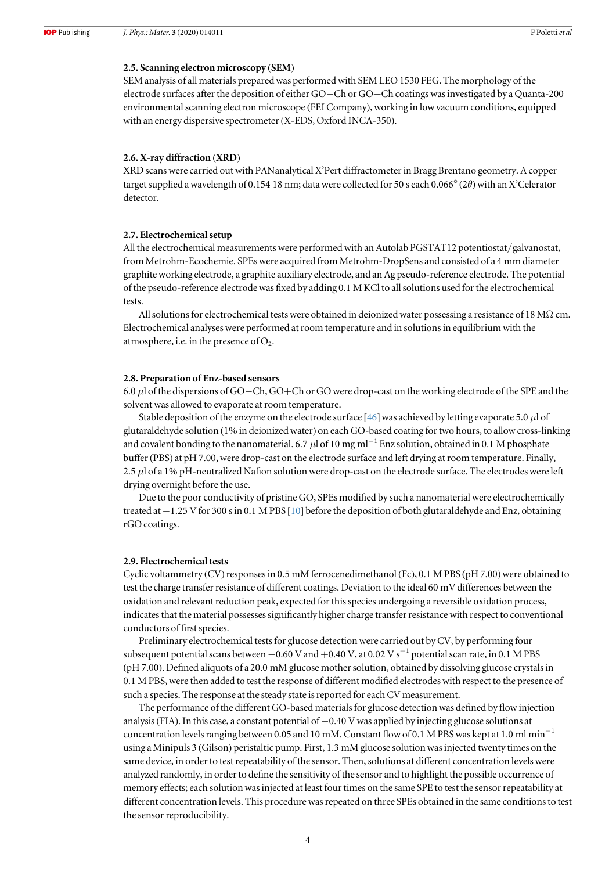## 2.5. Scanning electron microscopy (SEM)

SEM analysis of all materials prepared was performed with SEM LEO 1530 FEG. The morphology of the electrode surfaces after the deposition of either GO−Ch or GO+Ch coatings was investigated by a Quanta-200 environmental scanning electron microscope (FEI Company), working in low vacuum conditions, equipped with an energy dispersive spectrometer(X-EDS, Oxford INCA-350).

#### 2.6. X-ray diffraction (XRD)

XRD scans were carried out with PANanalytical X'Pert diffractometer in Bragg Brentano geometry. A copper target supplied a wavelength of 0.154 18 nm; data were collected for 50 s each 0.066°(2θ)with an X'Celerator detector.

#### 2.7. Electrochemical setup

All the electrochemical measurements were performed with an Autolab PGSTAT12 potentiostat/galvanostat, from Metrohm-Ecochemie. SPEs were acquired from Metrohm-DropSens and consisted of a 4 mm diameter graphite working electrode, a graphite auxiliary electrode, and an Ag pseudo-reference electrode. The potential of the pseudo-reference electrode was fixed by adding 0.1 M KCl to all solutions used for the electrochemical tests.

All solutions for electrochemical tests were obtained in deionized water possessing a resistance of 18 MΩ cm. Electrochemical analyses were performed at room temperature and in solutions in equilibrium with the atmosphere, i.e. in the presence of  $O<sub>2</sub>$ .

#### 2.8. Preparation of Enz-based sensors

6.0 μl of the dispersions of GO−Ch, GO+Ch or GO were drop-cast on the working electrode of the SPE and the solvent was allowed to evaporate at room temperature.

Stable deposition of the enzyme on the electrode surface [[46](#page-10-0)] was achieved by letting evaporate 5.0  $\mu$  of glutaraldehyde solution (1% in deionized water) on each GO-based coating for two hours, to allow cross-linking and covalent bonding to the nanomaterial. 6.7 µl of 10 mg ml<sup>-1</sup> Enz solution, obtained in 0.1 M phosphate buffer(PBS) at pH 7.00, were drop-cast on the electrode surface and left drying at room temperature. Finally, 2.5  $\mu$ l of a 1% pH-neutralized Nafion solution were drop-cast on the electrode surface. The electrodes were left drying overnight before the use.

Due to the poor conductivity of pristine GO, SPEs modified by such a nanomaterial were electrochemically treated at −1.25 V for 300 s in 0.1 M PBS [[10](#page-9-0)] before the deposition of both glutaraldehyde and Enz, obtaining rGO coatings.

### 2.9. Electrochemical tests

Cyclic voltammetry (CV) responses in 0.5 mM ferrocenedimethanol (Fc), 0.1 M PBS (pH 7.00) were obtained to test the charge transfer resistance of different coatings. Deviation to the ideal 60 mV differences between the oxidation and relevant reduction peak, expected for this species undergoing a reversible oxidation process, indicates that the material possesses significantly higher charge transfer resistance with respect to conventional conductors of first species.

Preliminary electrochemical tests for glucose detection were carried out by CV, by performing four subsequent potential scans between  $-0.60$  V and  $+0.40$  V, at 0.02 V s<sup> $-1$ </sup> potential scan rate, in 0.1 M PBS (pH 7.00). Defined aliquots of a 20.0 mM glucose mother solution, obtained by dissolving glucose crystals in 0.1 M PBS, were then added to test the response of different modified electrodes with respect to the presence of such a species. The response at the steady state is reported for each CV measurement.

The performance of the different GO-based materials for glucose detection was defined by flow injection analysis(FIA). In this case, a constant potential of −0.40 V was applied by injecting glucose solutions at concentration levels ranging between 0.05 and 10 mM. Constant flow of 0.1 M PBS was kept at 1.0 ml  $\mathrm{min}^{-1}$ using a Minipuls 3 (Gilson) peristaltic pump. First, 1.3 mM glucose solution was injected twenty times on the same device, in order to test repeatability of the sensor. Then, solutions at different concentration levels were analyzed randomly, in order to define the sensitivity of the sensor and to highlight the possible occurrence of memory effects; each solution was injected at least four times on the same SPE to test the sensor repeatability at different concentration levels. This procedure was repeated on three SPEs obtained in the same conditions to test the sensor reproducibility.

4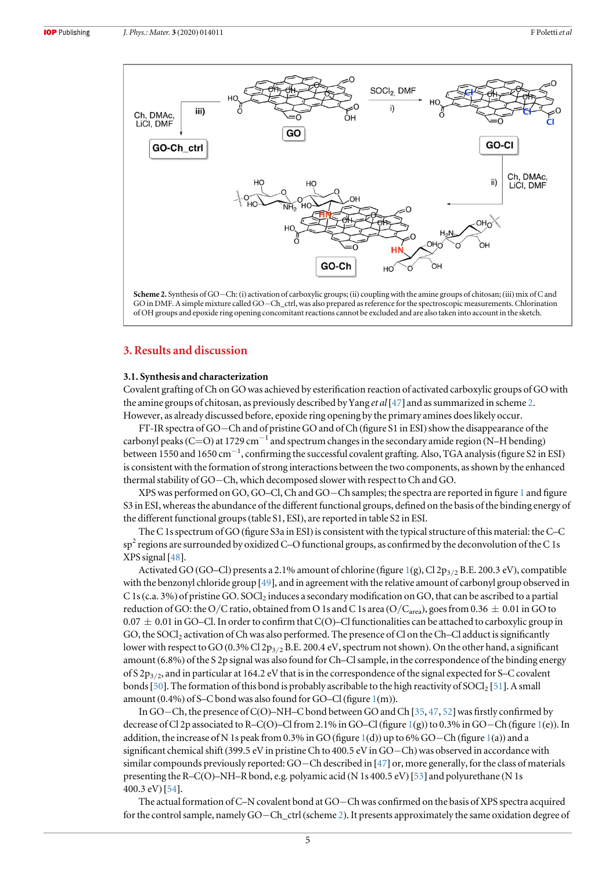

## 3. Results and discussion

#### 3.1. Synthesis and characterization

Covalent grafting of Ch on GO was achieved by esterification reaction of activated carboxylic groups of GO with the amine groups of chitosan, as previously described by Yang *et al* [[47](#page-10-0)] and as summarized in scheme 2. However, as already discussed before, epoxide ring opening by the primary amines does likely occur.

FT-IR spectra of GO−Ch and of pristine GO and of Ch (figure S1 in ESI)show the disappearance of the carbonyl peaks (C=O) at 1729 cm<sup>-1</sup> and spectrum changes in the secondary amide region (N–H bending) between 1550 and 1650 cm−<sup>1</sup> , confirming the successful covalent grafting. Also, TGA analysis(figure S2 in ESI) is consistent with the formation of strong interactions between the two components, as shown by the enhanced thermal stability of GO−Ch, which decomposed slower with respect to Ch and GO.

XPS was performed on GO, GO–Cl, Ch and GO−Ch samples; the spectra are reported in figure [1](#page-6-0) and figure S3 in ESI, whereas the abundance of the different functional groups, defined on the basis of the binding energy of the different functional groups(table S1, ESI), are reported in table S2 in ESI.

The C 1s spectrum of GO (figure S3a in ESI) is consistent with the typical structure of this material: the C–C  $sp<sup>2</sup>$  regions are surrounded by oxidized C–O functional groups, as confirmed by the deconvolution of the C 1s XPS signal [[48](#page-10-0)].

Activated GO (GO–Cl) presents a 2.[1](#page-6-0)% amount of chlorine (figure 1(g), Cl 2p<sub>3/2</sub> B.E. 200.3 eV), compatible with the benzonyl chloride group [[49](#page-10-0)], and in agreement with the relative amount of carbonyl group observed in C 1s (c.a. 3%) of pristine GO. SOCl<sub>2</sub> induces a secondary modification on GO, that can be ascribed to a partial reduction of GO: the O/C ratio, obtained from O 1s and C 1s area (O/C<sub>area</sub>), goes from 0.36  $\pm$  0.01 in GO to 0.07  $\pm$  0.01 in GO–Cl. In order to confirm that C(O)–Cl functionalities can be attached to carboxylic group in GO, the SOCl<sub>2</sub> activation of Ch was also performed. The presence of Cl on the Ch–Cl adduct is significantly lower with respect to GO (0.3% Cl 2p<sub>3/2</sub> B.E. 200.4 eV, spectrum not shown). On the other hand, a significant amount (6.8%) of the S 2p signal was also found for Ch–Cl sample, in the correspondence of the binding energy of S 2 $p_{3/2}$ , and in particular at 164.2 eV that is in the correspondence of the signal expected for S–C covalent bonds [[50](#page-10-0)]. The formation of this bond is probably ascribable to the high reactivity of SOCl<sub>2</sub> [[51](#page-10-0)]. A small amount (0.4%) of S–C bond was also found for GO–Cl (figure [1](#page-6-0)(m)).

In GO−Ch, the presence of C(O)–NH–C bond between GO and Ch [[35](#page-10-0), [47,](#page-10-0) [52](#page-10-0)] was firstly confirmed by decrease of Cl 2p associated to R–C(O)–Cl from 2.1% in GO–Cl(figure [1](#page-6-0)(g)) to 0.3% in GO−Ch (figure [1](#page-6-0)(e)). In addition, the increase of N 1s peak from 0.3% in GO (figure [1](#page-6-0)(d)) up to 6% GO−Ch (figure [1](#page-6-0)(a)) and a significant chemical shift (399.5 eV in pristine Ch to 400.5 eV in GO−Ch)was observed in accordance with similar compounds previously reported: GO−Ch described in [[47](#page-10-0)] or, more generally, for the class of materials presenting the R–C(O)–NH–R bond, e.g. polyamic acid (N 1s 400.5 eV) [[53](#page-10-0)] and polyurethane (N 1s 400.3 eV) [[54](#page-10-0)].

The actual formation of C–N covalent bond at GO−Ch was confirmed on the basis of XPS spectra acquired for the control sample, namely GO−Ch\_ctrl(scheme 2). It presents approximately the same oxidation degree of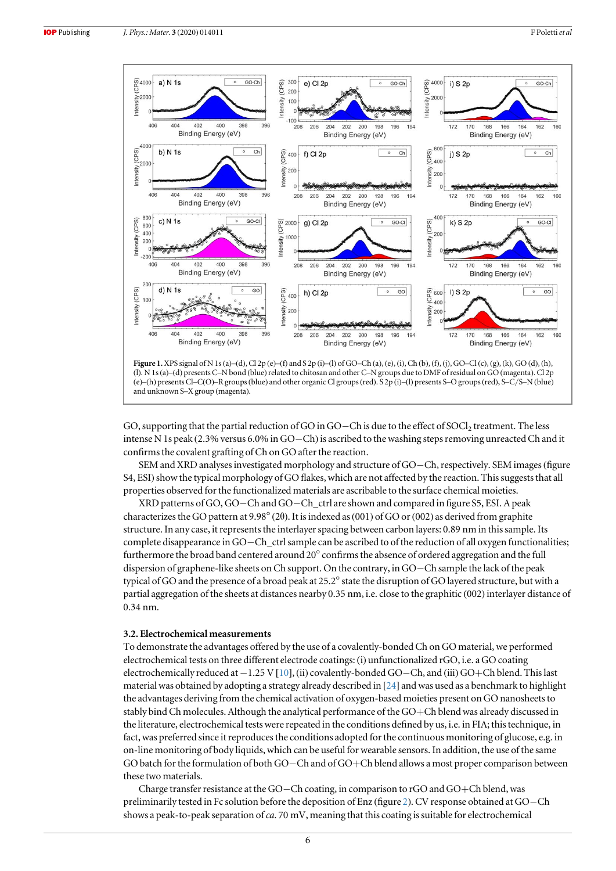<span id="page-6-0"></span>

and unknown S–X group (magenta).

GO, supporting that the partial reduction of GO in GO−Ch is due to the effect of SOCl<sub>2</sub> treatment. The less intense N 1s peak (2.3% versus 6.0% in GO−Ch)is ascribed to the washing steps removing unreacted Ch and it confirms the covalent grafting of Ch on GO after the reaction.

SEM and XRD analyses investigated morphology and structure of GO−Ch, respectively. SEM images(figure S4, ESI) show the typical morphology of GO flakes, which are not affected by the reaction. This suggests that all properties observed for the functionalized materials are ascribable to the surface chemical moieties.

XRD patterns of GO, GO−Ch and GO−Ch\_ctrl are shown and compared in figure S5, ESI. A peak characterizes the GO pattern at 9.98°(2θ). It is indexed as(001) of GO or(002) as derived from graphite structure. In any case, it represents the interlayer spacing between carbon layers: 0.89 nm in this sample. Its complete disappearance in GO−Ch\_ctrl sample can be ascribed to of the reduction of all oxygen functionalities; furthermore the broad band centered around 20° confirms the absence of ordered aggregation and the full dispersion of graphene-like sheets on Ch support. On the contrary, in GO−Ch sample the lack of the peak typical of GO and the presence of a broad peak at 25.2° state the disruption of GO layered structure, but with a partial aggregation of the sheets at distances nearby 0.35 nm, i.e. close to the graphitic (002) interlayer distance of 0.34 nm.

#### 3.2. Electrochemical measurements

To demonstrate the advantages offered by the use of a covalently-bonded Ch on GO material, we performed electrochemical tests on three different electrode coatings: (i) unfunctionalized rGO, i.e. a GO coating electrochemically reduced at −1.25 V[[10](#page-9-0)], (ii) covalently-bonded GO−Ch, and (iii) GO+Ch blend. This last material was obtained by adopting a strategy already described in [[24](#page-10-0)] and was used as a benchmark to highlight the advantages deriving from the chemical activation of oxygen-based moieties present on GO nanosheets to stably bind Ch molecules. Although the analytical performance of the GO+Ch blend was already discussed in the literature, electrochemical tests were repeated in the conditions defined by us, i.e. in FIA; this technique, in fact, was preferred since it reproduces the conditions adopted for the continuous monitoring of glucose, e.g. in on-line monitoring of body liquids, which can be useful for wearable sensors. In addition, the use of the same GO batch for the formulation of both GO−Ch and of GO+Ch blend allows a most proper comparison between these two materials.

Charge transfer resistance at the GO−Ch coating, in comparison to rGO and GO+Ch blend, was preliminarily tested in Fc solution before the deposition of Enz (figure [2](#page-7-0)). CV response obtained at GO−Ch shows a peak-to-peak separation of ca. 70 mV, meaning that this coating is suitable for electrochemical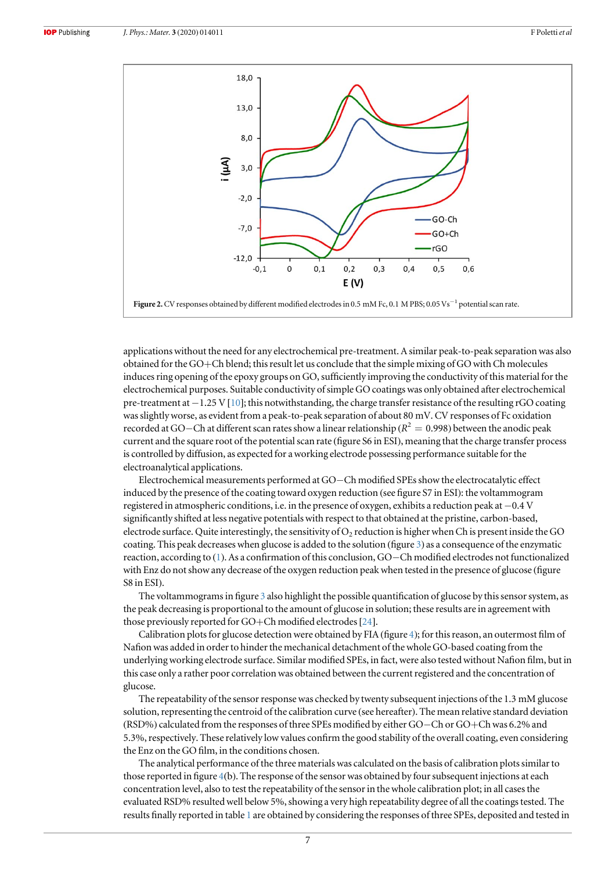<span id="page-7-0"></span>

applications without the need for any electrochemical pre-treatment. A similar peak-to-peak separation was also obtained for the GO+Ch blend; this result let us conclude that the simple mixing of GO with Ch molecules induces ring opening of the epoxy groups on GO, sufficiently improving the conductivity of this material for the electrochemical purposes. Suitable conductivity of simple GO coatings was only obtained after electrochemical pre-treatment at −1.25 V[[10](#page-9-0)]; this notwithstanding, the charge transfer resistance of the resulting rGO coating was slightly worse, as evident from a peak-to-peak separation of about 80 mV. CV responses of Fc oxidation recorded at GO−Ch at different scan rates show a linear relationship ( $R^2 = 0.998$ ) between the anodic peak current and the square root of the potential scan rate (figure S6 in ESI), meaning that the charge transfer process is controlled by diffusion, as expected for a working electrode possessing performance suitable for the electroanalytical applications.

Electrochemical measurements performed at GO−Ch modified SPEs show the electrocatalytic effect induced by the presence of the coating toward oxygen reduction (see figure S7 in ESI): the voltammogram registered in atmospheric conditions, i.e. in the presence of oxygen, exhibits a reduction peak at −0.4 V significantly shifted at less negative potentials with respect to that obtained at the pristine, carbon-based, electrode surface. Quite interestingly, the sensitivity of  $O<sub>2</sub>$  reduction is higher when Ch is present inside the GO coating. This peak decreases when glucose is added to the solution (figure [3](#page-8-0)) as a consequence of the enzymatic reaction, according to ([1](#page-1-0)). As a confirmation of this conclusion, GO−Ch modified electrodes not functionalized with Enz do not show any decrease of the oxygen reduction peak when tested in the presence of glucose (figure S8 in ESI).

The voltammograms in figure [3](#page-8-0) also highlight the possible quantification of glucose by this sensor system, as the peak decreasing is proportional to the amount of glucose in solution; these results are in agreement with those previously reported for GO+Ch modified electrodes [[24](#page-10-0)].

Calibration plots for glucose detection were obtained by FIA (figure [4](#page-8-0)); for this reason, an outermost film of Nafion was added in order to hinder the mechanical detachment of the whole GO-based coating from the underlying working electrode surface. Similar modified SPEs, in fact, were also tested without Nafion film, but in this case only a rather poor correlation was obtained between the current registered and the concentration of glucose.

The repeatability of the sensor response was checked by twenty subsequent injections of the 1.3 mM glucose solution, representing the centroid of the calibration curve (see hereafter). The mean relative standard deviation (RSD%) calculated from the responses of three SPEs modified by either GO−Ch or GO+Ch was 6.2% and 5.3%, respectively. These relatively low values confirm the good stability of the overall coating, even considering the Enz on the GO film, in the conditions chosen.

The analytical performance of the three materials was calculated on the basis of calibration plots similar to those reported in figure [4](#page-8-0)(b). The response of the sensor was obtained by four subsequent injections at each concentration level, also to test the repeatability of the sensor in the whole calibration plot; in all cases the evaluated RSD% resulted well below 5%, showing a very high repeatability degree of all the coatings tested. The results finally reported in table [1](#page-9-0) are obtained by considering the responses of three SPEs, deposited and tested in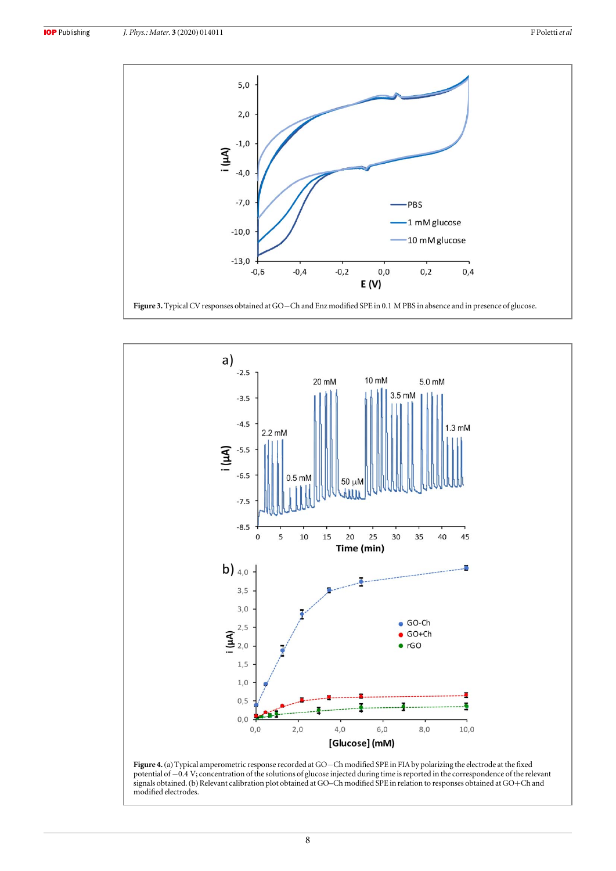<span id="page-8-0"></span>

```
Figure 3. Typical CV responses obtained at GO−Ch and Enz modified SPE in 0.1 M PBS in absence and in presence of glucose.
```


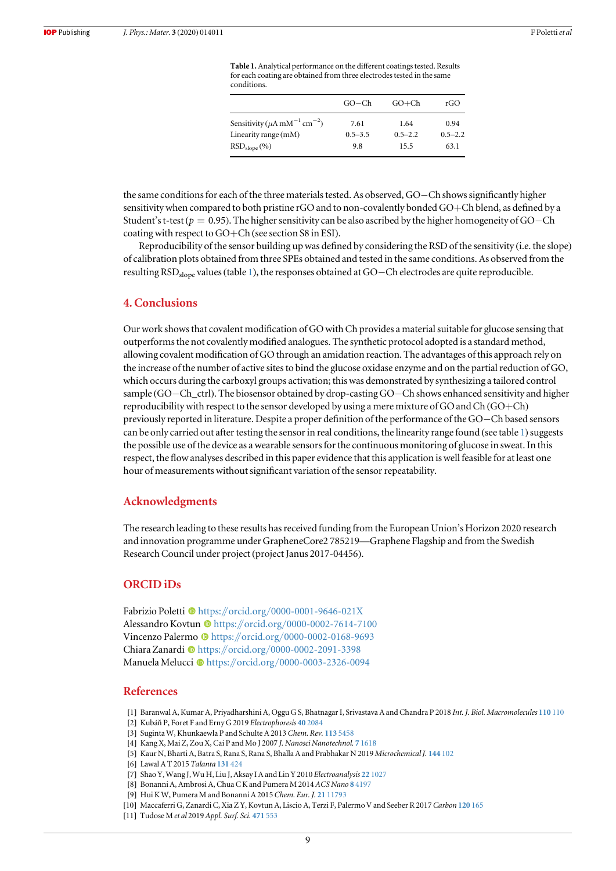Table 1. Analytical performance on the different coatings tested. Results for each coating are obtained from three electrodes tested in the same conditions.

| $GO-Ch$     | $GO+Ch$     | rGO         |
|-------------|-------------|-------------|
| 7.61        | 1.64        | 0.94        |
| $0.5 - 3.5$ | $0.5 - 2.2$ | $0.5 - 2.2$ |
| 9.8         | 15.5        | 63.1        |
|             |             |             |

<span id="page-9-0"></span>the same conditions for each of the three materials tested. As observed, GO−Ch shows significantly higher sensitivity when compared to both pristine rGO and to non-covalently bonded GO+Ch blend, as defined by a Student's t-test ( $p = 0.95$ ). The higher sensitivity can be also ascribed by the higher homogeneity of GO−Ch coating with respect to GO+Ch (see section S8 in ESI).

Reproducibility of the sensor building up was defined by considering the RSD of the sensitivity (i.e. the slope) of calibration plots obtained from three SPEs obtained and tested in the same conditions. As observed from the resulting RSD<sub>slope</sub> values (table 1), the responses obtained at GO−Ch electrodes are quite reproducible.

## 4. Conclusions

Our work shows that covalent modification of GO with Ch provides a material suitable for glucose sensing that outperforms the not covalently modified analogues. The synthetic protocol adopted is a standard method, allowing covalent modification of GO through an amidation reaction. The advantages of this approach rely on the increase of the number of active sites to bind the glucose oxidase enzyme and on the partial reduction of GO, which occurs during the carboxyl groups activation; this was demonstrated by synthesizing a tailored control sample (GO−Ch\_ctrl). The biosensor obtained by drop-casting GO−Ch shows enhanced sensitivity and higher reproducibility with respect to the sensor developed by using a mere mixture of GO and Ch (GO+Ch) previously reported in literature. Despite a proper definition of the performance of the GO−Ch based sensors can be only carried out after testing the sensor in real conditions, the linearity range found (see table 1) suggests the possible use of the device as a wearable sensors for the continuous monitoring of glucose in sweat. In this respect, the flow analyses described in this paper evidence that this application is well feasible for at least one hour of measurements without significant variation of the sensor repeatability.

#### Acknowledgments

The research leading to these results has received funding from the European Union's Horizon 2020 research and innovation programme under GrapheneCore2 785219—Graphene Flagship and from the Swedish Research Council under project (project Janus 2017-04456).

## ORCID iDs

Fabrizio Poletti ® [https:](https://orcid.org/0000-0001-9646-021X)//orcid.org/[0000-0001-9646-021X](https://orcid.org/0000-0001-9646-021X) Alessa[n](https://orcid.org/0000-0002-7614-7100)dro Kovtun C[https:](https://orcid.org/0000-0002-7614-7100)//orcid.org/[0000-0002-7614-7100](https://orcid.org/0000-0002-7614-7100) Vincenzo Palermo C[https:](https://orcid.org/0000-0002-0168-9693)//orcid.org/[0000-0002-0168-9693](https://orcid.org/0000-0002-0168-9693) Chiara Zanardi @ [https:](https://orcid.org/0000-0002-2091-3398)//orcid.org/[0000-0002-2091-3398](https://orcid.org/0000-0002-2091-3398) Manuela Melucc[i](https://orcid.org/0000-0003-2326-0094) <sup>to</sup> [https:](https://orcid.org/0000-0003-2326-0094)//orcid.org/[0000-0003-2326-0094](https://orcid.org/0000-0003-2326-0094)

### References

- [1] Baranwal A, Kumar A, Priyadharshini A, Oggu G S, Bhatnagar I, Srivastava A and Chandra P 2018 Int. J. Biol. Macromolecules [110](https://doi.org/10.1016/j.ijbiomac.2018.01.006) 110
- [2] Kubáň P, Foret F and Erny G 2019 Electrophoresis 40 [2084](https://doi.org/10.1002/elps.201900066)
- [3] Suginta W, Khunkaewla P and Schulte A 2013 Chem. Rev. 113 [5458](https://doi.org/10.1021/cr300325r)
- [4] Kang X, Mai Z, Zou X, Cai P and Mo J 2007 J. Nanosci Nanotechnol. 7 [1618](https://doi.org/10.1166/jnn.2007.345)
- [5] Kaur N, Bharti A, Batra S, Rana S, Rana S, Bhalla A and Prabhakar N 2019 Microchemical J. [144](https://doi.org/10.1016/j.microc.2018.08.064) 102
- [6] Lawal A T 2015 Talanta [131](https://doi.org/10.1016/j.talanta.2014.07.019) 424
- [7] Shao Y, Wang J, Wu H, Liu J, Aksay I A and Lin Y 2010 Electroanalysis 22 [1027](https://doi.org/10.1002/elan.200900571)
- [8] Bonanni A, Ambrosi A, Chua C K and Pumera M 2014 ACS Nano 8 [4197](https://doi.org/10.1021/nn404255q)
- [9] Hui K W, Pumera M and Bonanni A 2015 Chem. Eur. J. 21 [11793](https://doi.org/10.1002/chem.201501691)
- [10] Maccaferri G, Zanardi C, Xia Z Y, Kovtun A, Liscio A, Terzi F, Palermo V and Seeber R 2017 Carbon [120](https://doi.org/10.1016/j.carbon.2017.05.030) 165
- [11] Tudose M et al 2019 Appl. Surf. Sci. [471](https://doi.org/10.1016/j.apsusc.2018.11.242) 553